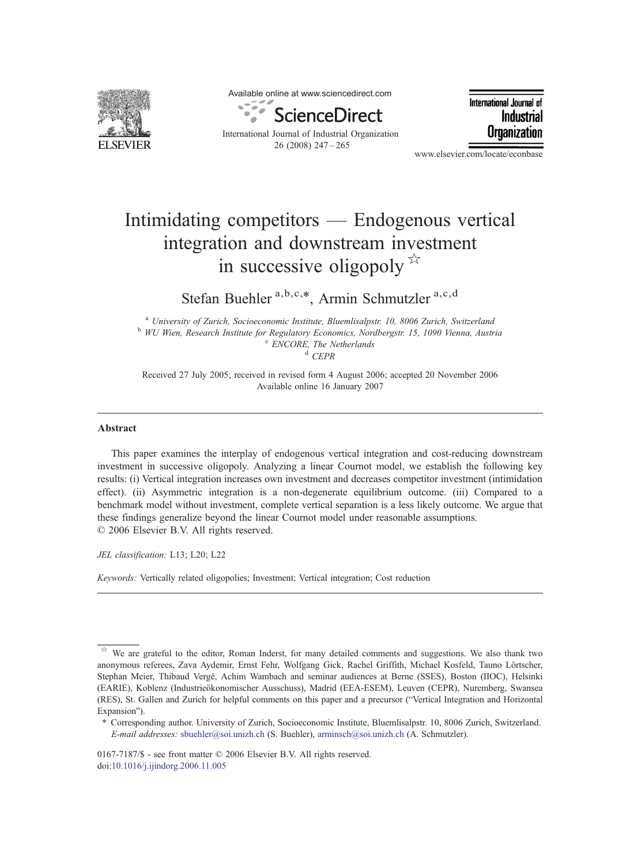

Available online at www.sciencedirect.com



International Journal of Industrial Organization 26 (2008) 247–265



www.elsevier.com/locate/econbase

## Intimidating competitors — Endogenous vertical integration and downstream investment in successive oligopoly  $\mathbb{X}$

Stefan Buehler  $a,b,c,*$ , Armin Schmutzler  $a,c,d$ 

a University of Zurich, Socioeconomic Institute, Bluemlisalpstr. 10, 8006 Zurich, Switzerland b WU Wien, Research Institute for Regulatory Economics, Nordbergstr. 15, 1090 Vienna, Austria c ENCORE, The Netherlands d CEPR

Received 27 July 2005; received in revised form 4 August 2006; accepted 20 November 2006 Available online 16 January 2007

## Abstract

This paper examines the interplay of endogenous vertical integration and cost-reducing downstream investment in successive oligopoly. Analyzing a linear Cournot model, we establish the following key results: (i) Vertical integration increases own investment and decreases competitor investment (intimidation effect). (ii) Asymmetric integration is a non-degenerate equilibrium outcome. (iii) Compared to a benchmark model without investment, complete vertical separation is a less likely outcome. We argue that these findings generalize beyond the linear Cournot model under reasonable assumptions. © 2006 Elsevier B.V. All rights reserved.

JEL classification: L13; L20; L22

Keywords: Vertically related oligopolies; Investment; Vertical integration; Cost reduction

We are grateful to the editor, Roman Inderst, for many detailed comments and suggestions. We also thank two anonymous referees, Zava Aydemir, Ernst Fehr, Wolfgang Gick, Rachel Griffith, Michael Kosfeld, Tauno Lörtscher, Stephan Meier, Thibaud Vergé, Achim Wambach and seminar audiences at Berne (SSES), Boston (IIOC), Helsinki (EARIE), Koblenz (Industrieökonomischer Ausschuss), Madrid (EEA-ESEM), Leuven (CEPR), Nuremberg, Swansea (RES), St. Gallen and Zurich for helpful comments on this paper and a precursor ("Vertical Integration and Horizontal Expansion").

<sup>⁎</sup> Corresponding author. University of Zurich, Socioeconomic Institute, Bluemlisalpstr. 10, 8006 Zurich, Switzerland. E-mail addresses: [sbuehler@soi.unizh.ch](mailto:sbuehler@soi.unizh.ch) (S. Buehler), [arminsch@soi.unizh.ch](mailto:arminsch@soi.unizh.ch) (A. Schmutzler).

<sup>0167-7187/\$ -</sup> see front matter © 2006 Elsevier B.V. All rights reserved. doi:[10.1016/j.ijindorg.2006.11.005](http://dx.doi.org/10.1016/j.ijindorg.2006.11.005)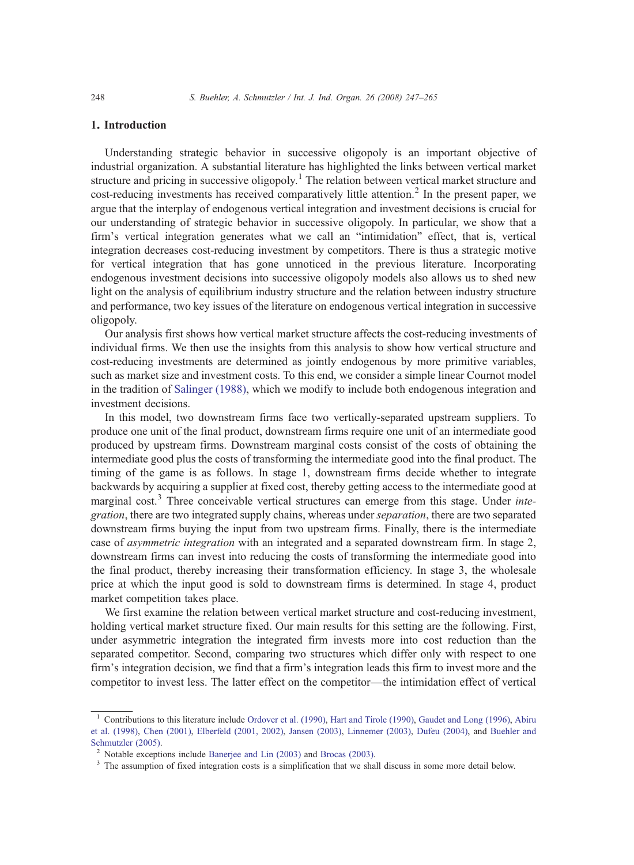## 1. Introduction

Understanding strategic behavior in successive oligopoly is an important objective of industrial organization. A substantial literature has highlighted the links between vertical market structure and pricing in successive oligopoly.<sup>1</sup> The relation between vertical market structure and cost-reducing investments has received comparatively little attention.<sup>2</sup> In the present paper, we argue that the interplay of endogenous vertical integration and investment decisions is crucial for our understanding of strategic behavior in successive oligopoly. In particular, we show that a firm's vertical integration generates what we call an "intimidation" effect, that is, vertical integration decreases cost-reducing investment by competitors. There is thus a strategic motive for vertical integration that has gone unnoticed in the previous literature. Incorporating endogenous investment decisions into successive oligopoly models also allows us to shed new light on the analysis of equilibrium industry structure and the relation between industry structure and performance, two key issues of the literature on endogenous vertical integration in successive oligopoly.

Our analysis first shows how vertical market structure affects the cost-reducing investments of individual firms. We then use the insights from this analysis to show how vertical structure and cost-reducing investments are determined as jointly endogenous by more primitive variables, such as market size and investment costs. To this end, we consider a simple linear Cournot model in the tradition of [Salinger \(1988\),](#page--1-0) which we modify to include both endogenous integration and investment decisions.

In this model, two downstream firms face two vertically-separated upstream suppliers. To produce one unit of the final product, downstream firms require one unit of an intermediate good produced by upstream firms. Downstream marginal costs consist of the costs of obtaining the intermediate good plus the costs of transforming the intermediate good into the final product. The timing of the game is as follows. In stage 1, downstream firms decide whether to integrate backwards by acquiring a supplier at fixed cost, thereby getting access to the intermediate good at marginal cost.<sup>3</sup> Three conceivable vertical structures can emerge from this stage. Under *inte*gration, there are two integrated supply chains, whereas under *separation*, there are two separated downstream firms buying the input from two upstream firms. Finally, there is the intermediate case of asymmetric integration with an integrated and a separated downstream firm. In stage 2, downstream firms can invest into reducing the costs of transforming the intermediate good into the final product, thereby increasing their transformation efficiency. In stage 3, the wholesale price at which the input good is sold to downstream firms is determined. In stage 4, product market competition takes place.

We first examine the relation between vertical market structure and cost-reducing investment, holding vertical market structure fixed. Our main results for this setting are the following. First, under asymmetric integration the integrated firm invests more into cost reduction than the separated competitor. Second, comparing two structures which differ only with respect to one firm's integration decision, we find that a firm's integration leads this firm to invest more and the competitor to invest less. The latter effect on the competitor—the intimidation effect of vertical

<sup>&</sup>lt;sup>1</sup> Contributions to this literature include [Ordover et al. \(1990\),](#page--1-0) [Hart and Tirole \(1990\)](#page--1-0), [Gaudet and Long \(1996\)](#page--1-0), [Abiru](#page--1-0) [et al. \(1998\)](#page--1-0), [Chen \(2001\)](#page--1-0), [Elberfeld \(2001, 2002\)](#page--1-0), [Jansen \(2003\)](#page--1-0), [Linnemer \(2003\)](#page--1-0), [Dufeu \(2004\),](#page--1-0) and [Buehler and](#page--1-0) [Schmutzler \(2005\).](#page--1-0)<br><sup>2</sup> Notable exceptions include [Banerjee and Lin \(2003\)](#page--1-0) and [Brocas \(2003\).](#page--1-0)<br><sup>3</sup> The assumption of fixed integration costs is a simplification that we shall discuss in some more detail below.